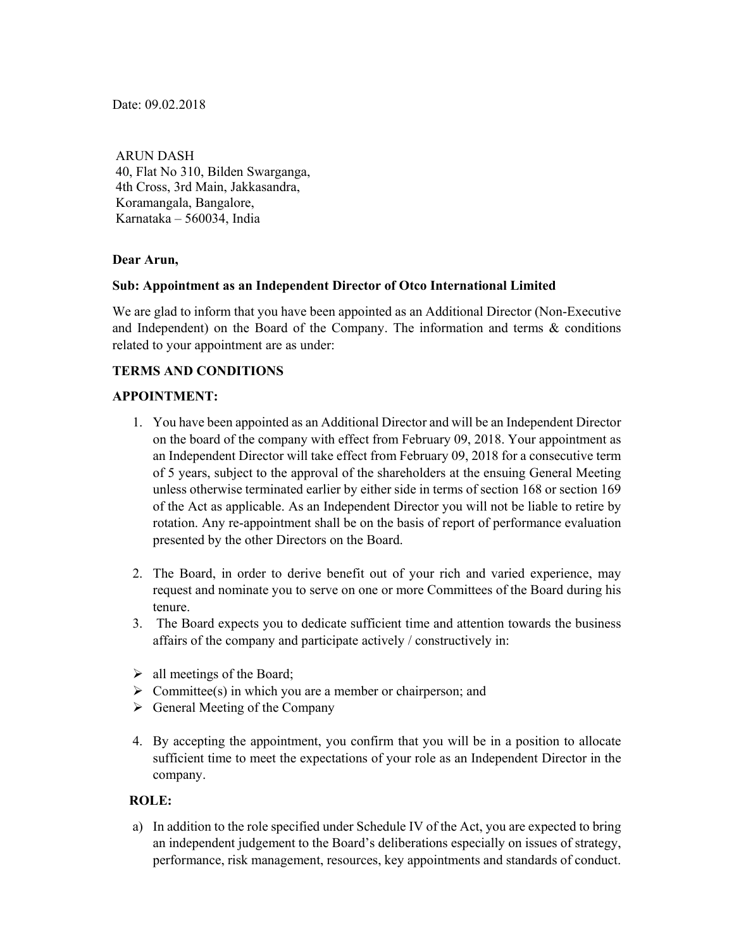Date: 09.02.2018

 ARUN DASH 40, Flat No 310, Bilden Swarganga, 4th Cross, 3rd Main, Jakkasandra, Koramangala, Bangalore, Karnataka – 560034, India

### **Dear Arun,**

## **Sub: Appointment as an Independent Director of Otco International Limited**

We are glad to inform that you have been appointed as an Additional Director (Non-Executive and Independent) on the Board of the Company. The information and terms & conditions related to your appointment are as under:

## **TERMS AND CONDITIONS**

### **APPOINTMENT:**

- 1. You have been appointed as an Additional Director and will be an Independent Director on the board of the company with effect from February 09, 2018. Your appointment as an Independent Director will take effect from February 09, 2018 for a consecutive term of 5 years, subject to the approval of the shareholders at the ensuing General Meeting unless otherwise terminated earlier by either side in terms of section 168 or section 169 of the Act as applicable. As an Independent Director you will not be liable to retire by rotation. Any re-appointment shall be on the basis of report of performance evaluation presented by the other Directors on the Board.
- 2. The Board, in order to derive benefit out of your rich and varied experience, may request and nominate you to serve on one or more Committees of the Board during his tenure.
- 3. The Board expects you to dedicate sufficient time and attention towards the business affairs of the company and participate actively / constructively in:
- $\triangleright$  all meetings of the Board;
- $\triangleright$  Committee(s) in which you are a member or chairperson; and
- $\triangleright$  General Meeting of the Company
- 4. By accepting the appointment, you confirm that you will be in a position to allocate sufficient time to meet the expectations of your role as an Independent Director in the company.

### **ROLE:**

a) In addition to the role specified under Schedule IV of the Act, you are expected to bring an independent judgement to the Board's deliberations especially on issues of strategy, performance, risk management, resources, key appointments and standards of conduct.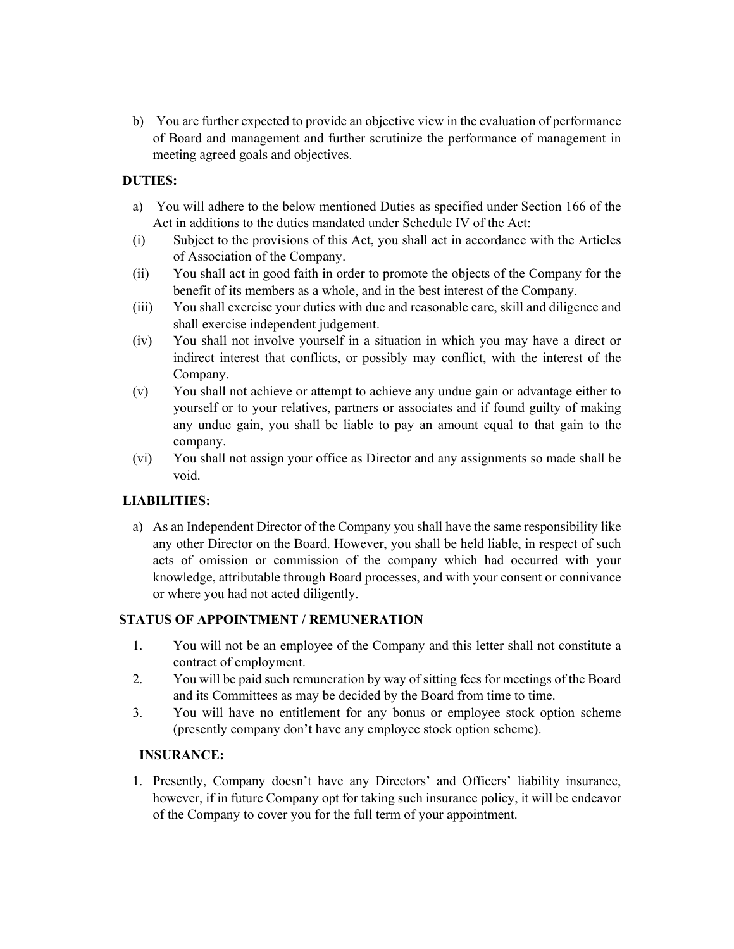b) You are further expected to provide an objective view in the evaluation of performance of Board and management and further scrutinize the performance of management in meeting agreed goals and objectives.

## **DUTIES:**

- a) You will adhere to the below mentioned Duties as specified under Section 166 of the Act in additions to the duties mandated under Schedule IV of the Act:
- (i) Subject to the provisions of this Act, you shall act in accordance with the Articles of Association of the Company.
- (ii) You shall act in good faith in order to promote the objects of the Company for the benefit of its members as a whole, and in the best interest of the Company.
- (iii) You shall exercise your duties with due and reasonable care, skill and diligence and shall exercise independent judgement.
- (iv) You shall not involve yourself in a situation in which you may have a direct or indirect interest that conflicts, or possibly may conflict, with the interest of the Company.
- (v) You shall not achieve or attempt to achieve any undue gain or advantage either to yourself or to your relatives, partners or associates and if found guilty of making any undue gain, you shall be liable to pay an amount equal to that gain to the company.
- (vi) You shall not assign your office as Director and any assignments so made shall be void.

# **LIABILITIES:**

a) As an Independent Director of the Company you shall have the same responsibility like any other Director on the Board. However, you shall be held liable, in respect of such acts of omission or commission of the company which had occurred with your knowledge, attributable through Board processes, and with your consent or connivance or where you had not acted diligently.

## **STATUS OF APPOINTMENT / REMUNERATION**

- 1. You will not be an employee of the Company and this letter shall not constitute a contract of employment.
- 2. You will be paid such remuneration by way of sitting fees for meetings of the Board and its Committees as may be decided by the Board from time to time.
- 3. You will have no entitlement for any bonus or employee stock option scheme (presently company don't have any employee stock option scheme).

## **INSURANCE:**

1. Presently, Company doesn't have any Directors' and Officers' liability insurance, however, if in future Company opt for taking such insurance policy, it will be endeavor of the Company to cover you for the full term of your appointment.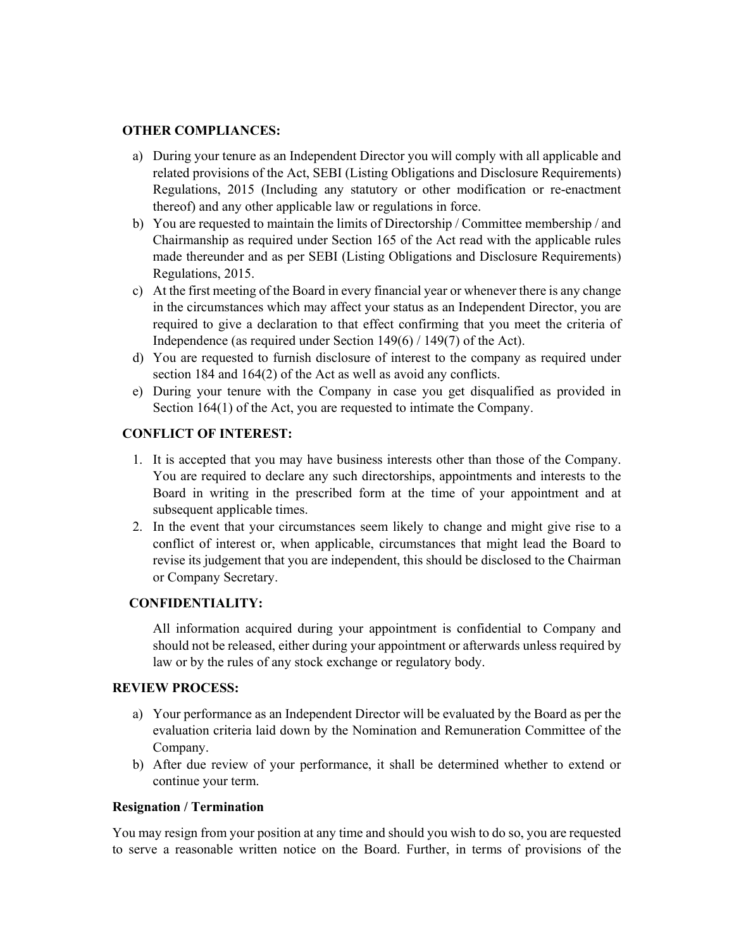#### **OTHER COMPLIANCES:**

- a) During your tenure as an Independent Director you will comply with all applicable and related provisions of the Act, SEBI (Listing Obligations and Disclosure Requirements) Regulations, 2015 (Including any statutory or other modification or re-enactment thereof) and any other applicable law or regulations in force.
- b) You are requested to maintain the limits of Directorship / Committee membership / and Chairmanship as required under Section 165 of the Act read with the applicable rules made thereunder and as per SEBI (Listing Obligations and Disclosure Requirements) Regulations, 2015.
- c) At the first meeting of the Board in every financial year or whenever there is any change in the circumstances which may affect your status as an Independent Director, you are required to give a declaration to that effect confirming that you meet the criteria of Independence (as required under Section 149(6) / 149(7) of the Act).
- d) You are requested to furnish disclosure of interest to the company as required under section 184 and 164(2) of the Act as well as avoid any conflicts.
- e) During your tenure with the Company in case you get disqualified as provided in Section 164(1) of the Act, you are requested to intimate the Company.

## **CONFLICT OF INTEREST:**

- 1. It is accepted that you may have business interests other than those of the Company. You are required to declare any such directorships, appointments and interests to the Board in writing in the prescribed form at the time of your appointment and at subsequent applicable times.
- 2. In the event that your circumstances seem likely to change and might give rise to a conflict of interest or, when applicable, circumstances that might lead the Board to revise its judgement that you are independent, this should be disclosed to the Chairman or Company Secretary.

### **CONFIDENTIALITY:**

All information acquired during your appointment is confidential to Company and should not be released, either during your appointment or afterwards unless required by law or by the rules of any stock exchange or regulatory body.

## **REVIEW PROCESS:**

- a) Your performance as an Independent Director will be evaluated by the Board as per the evaluation criteria laid down by the Nomination and Remuneration Committee of the Company.
- b) After due review of your performance, it shall be determined whether to extend or continue your term.

### **Resignation / Termination**

You may resign from your position at any time and should you wish to do so, you are requested to serve a reasonable written notice on the Board. Further, in terms of provisions of the